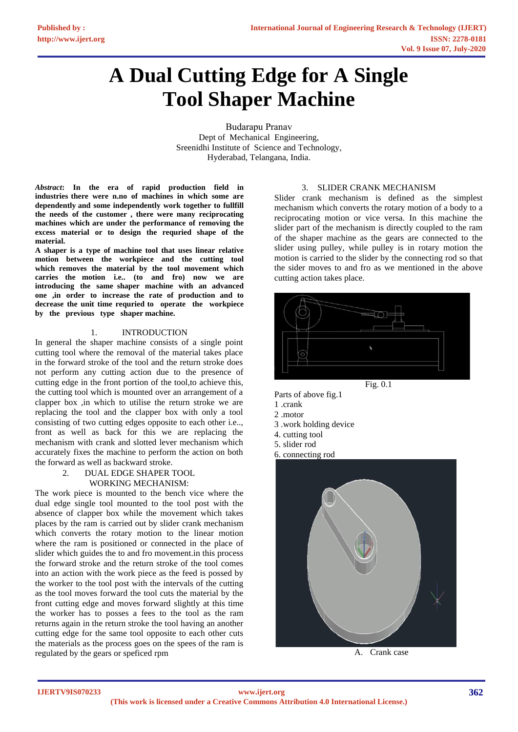# **A Dual Cutting Edge for A Single Tool Shaper Machine**

Budarapu Pranav Dept of Mechanical Engineering, Sreenidhi Institute of Science and Technology, Hyderabad, Telangana, India.

*Abstract***: In the era of rapid production field in industries there were n.no of machines in which some are dependently and some independently work together to fullfill the needs of the customer , there were many reciprocating machines which are under the performance of removing the excess material or to design the requried shape of the material.** 

**A shaper is a type of machine tool that uses linear relative motion between the workpiece and the cutting tool which removes the material by the tool movement which carries the motion i.e.. (to and fro) now we are introducing the same shaper machine with an advanced one ,in order to increase the rate of production and to decrease the unit time requried to operate the workpiece by the previous type shaper machine.** 

## 1. INTRODUCTION

In general the shaper machine consists of a single point cutting tool where the removal of the material takes place in the forward stroke of the tool and the return stroke does not perform any cutting action due to the presence of cutting edge in the front portion of the tool,to achieve this, the cutting tool which is mounted over an arrangement of a clapper box ,in which to utilise the return stroke we are replacing the tool and the clapper box with only a tool consisting of two cutting edges opposite to each other i.e.., front as well as back for this we are replacing the mechanism with crank and slotted lever mechanism which accurately fixes the machine to perform the action on both the forward as well as backward stroke.

### 2. DUAL EDGE SHAPER TOOL WORKING MECHANISM:

The work piece is mounted to the bench vice where the dual edge single tool mounted to the tool post with the absence of clapper box while the movement which takes places by the ram is carried out by slider crank mechanism which converts the rotary motion to the linear motion where the ram is positioned or connected in the place of slider which guides the to and fro movement.in this process the forward stroke and the return stroke of the tool comes into an action with the work piece as the feed is possed by the worker to the tool post with the intervals of the cutting as the tool moves forward the tool cuts the material by the front cutting edge and moves forward slightly at this time the worker has to posses a fees to the tool as the ram returns again in the return stroke the tool having an another cutting edge for the same tool opposite to each other cuts the materials as the process goes on the spees of the ram is regulated by the gears or speficed rpm

## 3. SLIDER CRANK MECHANISM

Slider crank mechanism is defined as the simplest mechanism which converts the rotary motion of a body to a reciprocating motion or vice versa. In this machine the slider part of the mechanism is directly coupled to the ram of the shaper machine as the gears are connected to the slider using pulley, while pulley is in rotary motion the motion is carried to the slider by the connecting rod so that the sider moves to and fro as we mentioned in the above cutting action takes place.





- 1 .crank
- 2 .motor
- 3 .work holding device
- 4. cutting tool
- 5. slider rod
- 6. connecting rod



A. Crank case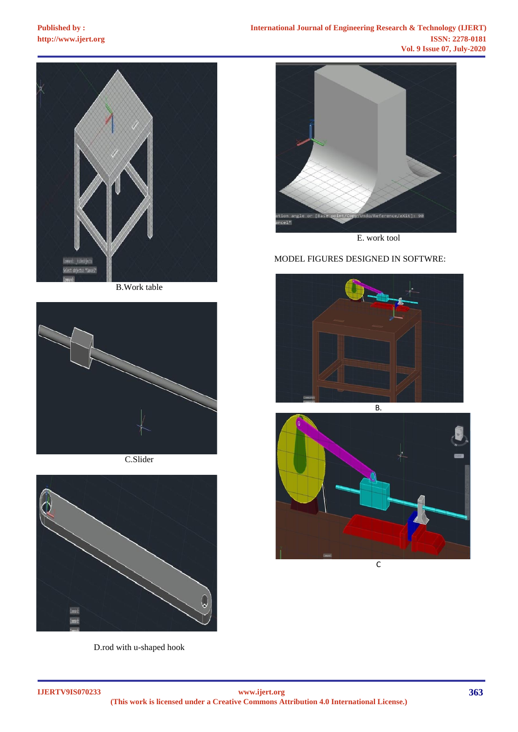

B.Work table



C.Slider



D.rod with u-shaped hook



E. work tool

# MODEL FIGURES DESIGNED IN SOFTWRE:





 $\overline{C}$